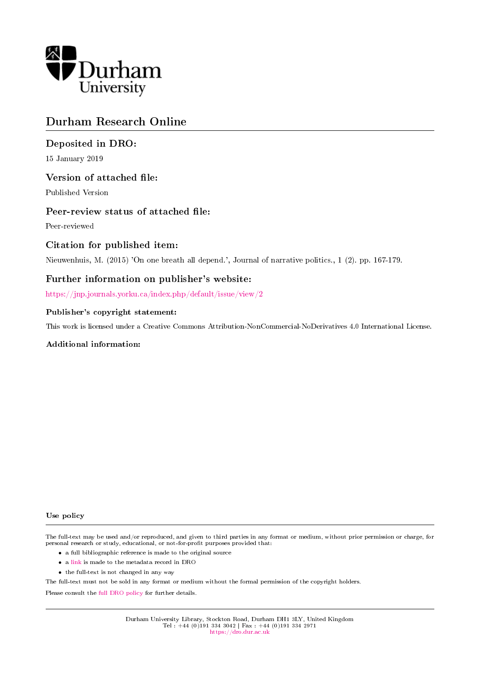

# Durham Research Online

## Deposited in DRO:

15 January 2019

## Version of attached file:

Published Version

## Peer-review status of attached file:

Peer-reviewed

## Citation for published item:

Nieuwenhuis, M. (2015) 'On one breath all depend.', Journal of narrative politics., 1 (2). pp. 167-179.

## Further information on publisher's website:

<https://jnp.journals.yorku.ca/index.php/default/issue/view/2>

#### Publisher's copyright statement:

This work is licensed under a Creative Commons Attribution-NonCommercial-NoDerivatives 4.0 International License.

#### Additional information:

#### Use policy

The full-text may be used and/or reproduced, and given to third parties in any format or medium, without prior permission or charge, for personal research or study, educational, or not-for-profit purposes provided that:

- a full bibliographic reference is made to the original source
- a [link](http://dro.dur.ac.uk/27196/) is made to the metadata record in DRO
- the full-text is not changed in any way

The full-text must not be sold in any format or medium without the formal permission of the copyright holders.

Please consult the [full DRO policy](https://dro.dur.ac.uk/policies/usepolicy.pdf) for further details.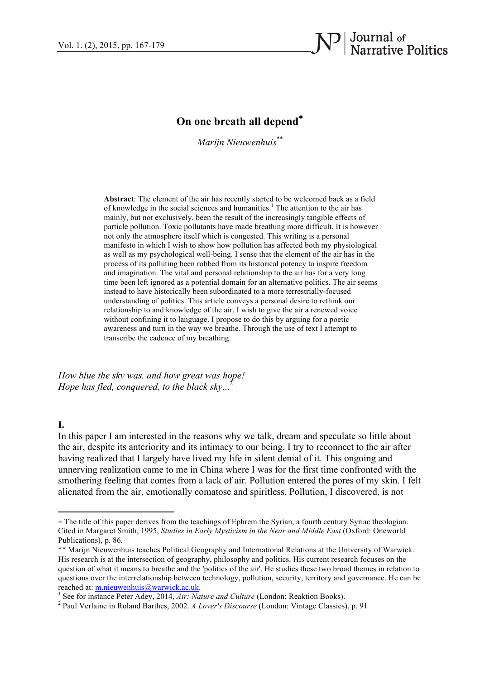

## **On one breath all depend**<sup>∗</sup>

*Marijn Nieuwenhuis*\*\*

**Abstract**: The element of the air has recently started to be welcomed back as a field of knowledge in the social sciences and humanities. <sup>1</sup> The attention to the air has mainly, but not exclusively, been the result of the increasingly tangible effects of particle pollution. Toxic pollutants have made breathing more difficult. It is however not only the atmosphere itself which is congested. This writing is a personal manifesto in which I wish to show how pollution has affected both my physiological as well as my psychological well-being. I sense that the element of the air has in the process of its polluting been robbed from its historical potency to inspire freedom and imagination. The vital and personal relationship to the air has for a very long time been left ignored as a potential domain for an alternative politics. The air seems instead to have historically been subordinated to a more terrestrially-focused understanding of politics. This article conveys a personal desire to rethink our relationship to and knowledge of the air. I wish to give the air a renewed voice without confining it to language. I propose to do this by arguing for a poetic awareness and turn in the way we breathe. Through the use of text I attempt to transcribe the cadence of my breathing.

*How blue the sky was, and how great was hope! Hope has fled, conquered, to the black sky...*<sup>2</sup>

 

## **I.**

In this paper I am interested in the reasons why we talk, dream and speculate so little about the air, despite its anteriority and its intimacy to our being. I try to reconnect to the air after having realized that I largely have lived my life in silent denial of it. This ongoing and unnerving realization came to me in China where I was for the first time confronted with the smothering feeling that comes from a lack of air. Pollution entered the pores of my skin. I felt alienated from the air, emotionally comatose and spiritless. Pollution, I discovered, is not

<sup>∗</sup> The title of this paper derives from the teachings of Ephrem the Syrian, a fourth century Syriac theologian. Cited in Margaret Smith, 1995, *Studies in Early Mysticism in the Near and Middle East* (Oxford: Oneworld Publications), p. 86.

<sup>\*\*</sup> Marijn Nieuwenhuis teaches Political Geography and International Relations at the University of Warwick. His research is at the intersection of geography, philosophy and politics. His current research focuses on the question of what it means to breathe and the 'politics of the air'. He studies these two broad themes in relation to questions over the interrelationship between technology, pollution, security, territory and governance. He can be reached at: <u>m.nieuwenhuis@warwick.ac.uk</u>.<br><sup>1</sup> See for instance Peter Adey, 2014, *Air: Nature and Culture* (London: Reaktion Books).<br><sup>2</sup> Paul Verlaine in Roland Barthes, 2002. *A Lover's Discourse* (London: Vintage Classi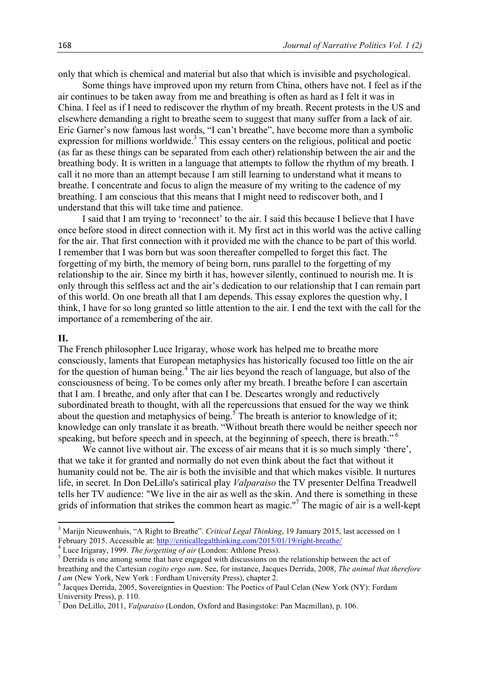only that which is chemical and material but also that which is invisible and psychological.

 Some things have improved upon my return from China, others have not. I feel as if the air continues to be taken away from me and breathing is often as hard as I felt it was in China. I feel as if I need to rediscover the rhythm of my breath. Recent protests in the US and elsewhere demanding a right to breathe seem to suggest that many suffer from a lack of air. Eric Garner's now famous last words, "I can't breathe", have become more than a symbolic expression for millions worldwide.<sup>3</sup> This essay centers on the religious, political and poetic (as far as these things can be separated from each other) relationship between the air and the breathing body. It is written in a language that attempts to follow the rhythm of my breath. I call it no more than an attempt because I am still learning to understand what it means to breathe. I concentrate and focus to align the measure of my writing to the cadence of my breathing. I am conscious that this means that I might need to rediscover both, and I understand that this will take time and patience.

 I said that I am trying to 'reconnect' to the air. I said this because I believe that I have once before stood in direct connection with it. My first act in this world was the active calling for the air. That first connection with it provided me with the chance to be part of this world. I remember that I was born but was soon thereafter compelled to forget this fact. The forgetting of my birth, the memory of being born, runs parallel to the forgetting of my relationship to the air. Since my birth it has, however silently, continued to nourish me. It is only through this selfless act and the air's dedication to our relationship that I can remain part of this world. On one breath all that I am depends. This essay explores the question why, I think, I have for so long granted so little attention to the air. I end the text with the call for the importance of a remembering of the air.

## **II.**

The French philosopher Luce Irigaray, whose work has helped me to breathe more consciously, laments that European metaphysics has historically focused too little on the air for the question of human being.<sup>4</sup> The air lies beyond the reach of language, but also of the consciousness of being. To be comes only after my breath. I breathe before I can ascertain that I am. I breathe, and only after that can I be. Descartes wrongly and reductively subordinated breath to thought, with all the repercussions that ensued for the way we think about the question and metaphysics of being.<sup>5</sup> The breath is anterior to knowledge of it; knowledge can only translate it as breath. "Without breath there would be neither speech nor speaking, but before speech and in speech, at the beginning of speech, there is breath."<sup>6</sup>

We cannot live without air. The excess of air means that it is so much simply 'there', that we take it for granted and normally do not even think about the fact that without it humanity could not be. The air is both the invisible and that which makes visible. It nurtures life, in secret. In Don DeLillo's satirical play *Valparaiso* the TV presenter Delfina Treadwell tells her TV audience: "We live in the air as well as the skin. And there is something in these grids of information that strikes the common heart as magic."<sup>7</sup> The magic of air is a well-kept

<u> 1989 - Johann Stein, fransk politiker (d. 1989)</u>

<sup>&</sup>lt;sup>3</sup> Marijn Nieuwenhuis, "A Right to Breathe". *Critical Legal Thinking*, 19 January 2015, last accessed on 1 February 2015. Accessible at: http://criticallegalthinking.com/2015/01/19/right-breathe/<br><sup>4</sup> Luce Irigaray, 1999. *The forgetting of air* (London: Athlone Press).<br><sup>5</sup> Derrida is one among some that have engaged with discus

breathing and the Cartesian *cogito ergo sum*. See, for instance, Jacques Derrida, 2008, *The animal that therefore* 

<sup>&</sup>lt;sup>6</sup> Jacques Derrida, 2005, Sovereignties in Question: The Poetics of Paul Celan (New York (NY): Fordam University Press), p. 110.

<sup>7</sup> Don DeLillo, 2011, *Valparaiso* (London, Oxford and Basingstoke: Pan Macmillan), p. 106.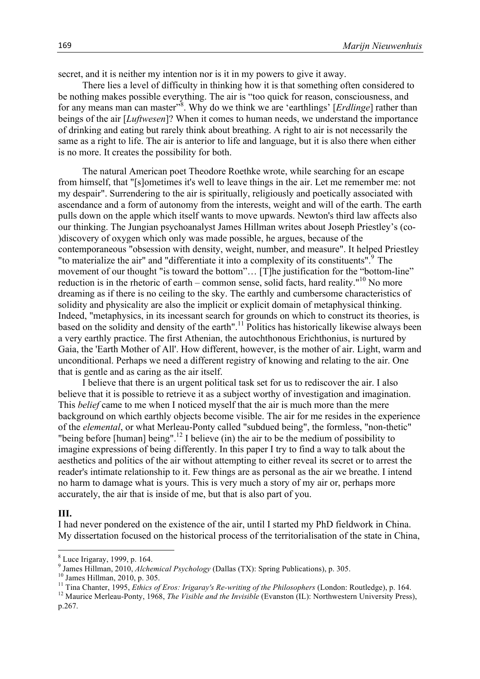secret, and it is neither my intention nor is it in my powers to give it away.

 There lies a level of difficulty in thinking how it is that something often considered to be nothing makes possible everything. The air is "too quick for reason, consciousness, and for any means man can master<sup>38</sup>. Why do we think we are 'earthlings' [*Erdlinge*] rather than beings of the air [*Luftwesen*]? When it comes to human needs, we understand the importance of drinking and eating but rarely think about breathing. A right to air is not necessarily the same as a right to life. The air is anterior to life and language, but it is also there when either is no more. It creates the possibility for both.

 The natural American poet Theodore Roethke wrote, while searching for an escape from himself, that "[s]ometimes it's well to leave things in the air. Let me remember me: not my despair". Surrendering to the air is spiritually, religiously and poetically associated with ascendance and a form of autonomy from the interests, weight and will of the earth. The earth pulls down on the apple which itself wants to move upwards. Newton's third law affects also our thinking. The Jungian psychoanalyst James Hillman writes about Joseph Priestley's (co- )discovery of oxygen which only was made possible, he argues, because of the contemporaneous "obsession with density, weight, number, and measure". It helped Priestley "to materialize the air" and "differentiate it into a complexity of its constituents". $9$  The movement of our thought "is toward the bottom"… [T]he justification for the "bottom-line" reduction is in the rhetoric of earth – common sense, solid facts, hard reality."<sup>10</sup> No more dreaming as if there is no ceiling to the sky. The earthly and cumbersome characteristics of solidity and physicality are also the implicit or explicit domain of metaphysical thinking. Indeed, "metaphysics, in its incessant search for grounds on which to construct its theories, is based on the solidity and density of the earth".<sup>11</sup> Politics has historically likewise always been a very earthly practice. The first Athenian, the autochthonous Erichthonius, is nurtured by Gaia, the 'Earth Mother of All'. How different, however, is the mother of air. Light, warm and unconditional. Perhaps we need a different registry of knowing and relating to the air. One that is gentle and as caring as the air itself.

 I believe that there is an urgent political task set for us to rediscover the air. I also believe that it is possible to retrieve it as a subject worthy of investigation and imagination. This *belief* came to me when I noticed myself that the air is much more than the mere background on which earthly objects become visible. The air for me resides in the experience of the *elemental*, or what Merleau-Ponty called "subdued being", the formless, "non-thetic" "being before [human] being".<sup>12</sup> I believe (in) the air to be the medium of possibility to imagine expressions of being differently. In this paper I try to find a way to talk about the aesthetics and politics of the air without attempting to either reveal its secret or to arrest the reader's intimate relationship to it. Few things are as personal as the air we breathe. I intend no harm to damage what is yours. This is very much a story of my air or, perhaps more accurately, the air that is inside of me, but that is also part of you.

## **III.**

I had never pondered on the existence of the air, until I started my PhD fieldwork in China. My dissertation focused on the historical process of the territorialisation of the state in China,

<u> 1989 - Johann Stein, fransk politiker (d. 1989)</u>

 $^8$  Luce Irigaray, 1999, p. 164.<br> $^9$  James Hillman, 2010, *Alchemical Psychology* (Dallas (TX): Spring Publications), p. 305.

<sup>&</sup>lt;sup>10</sup> James Hillman, 2010, p. 305.<br><sup>11</sup> Tina Chanter, 1995, *Ethics of Eros: Irigaray's Re-writing of the Philosophers* (London: Routledge), p. 164.<br><sup>12</sup> Maurice Merleau-Ponty, 1968, *The Visible and the Invisible* (Evanst

p.267.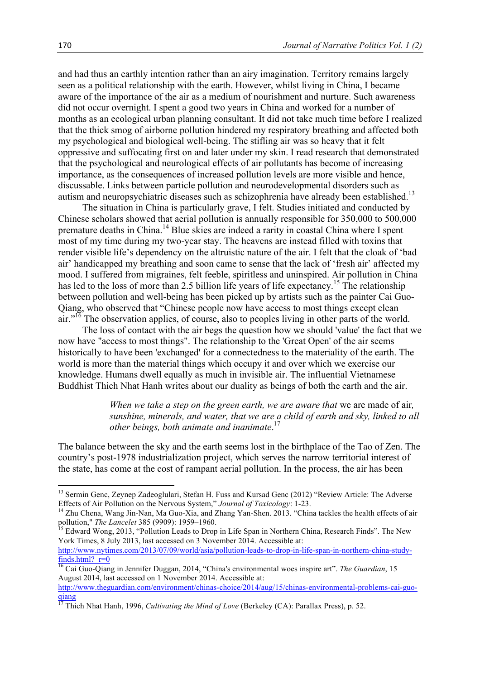and had thus an earthly intention rather than an airy imagination. Territory remains largely seen as a political relationship with the earth. However, whilst living in China, I became aware of the importance of the air as a medium of nourishment and nurture. Such awareness did not occur overnight. I spent a good two years in China and worked for a number of months as an ecological urban planning consultant. It did not take much time before I realized that the thick smog of airborne pollution hindered my respiratory breathing and affected both my psychological and biological well-being. The stifling air was so heavy that it felt oppressive and suffocating first on and later under my skin. I read research that demonstrated that the psychological and neurological effects of air pollutants has become of increasing importance, as the consequences of increased pollution levels are more visible and hence, discussable. Links between particle pollution and neurodevelopmental disorders such as autism and neuropsychiatric diseases such as schizophrenia have already been established.<sup>13</sup>

 The situation in China is particularly grave, I felt. Studies initiated and conducted by Chinese scholars showed that aerial pollution is annually responsible for 350,000 to 500,000 premature deaths in China.<sup>14</sup> Blue skies are indeed a rarity in coastal China where I spent most of my time during my two-year stay. The heavens are instead filled with toxins that render visible life's dependency on the altruistic nature of the air. I felt that the cloak of 'bad air' handicapped my breathing and soon came to sense that the lack of 'fresh air' affected my mood. I suffered from migraines, felt feeble, spiritless and uninspired. Air pollution in China has led to the loss of more than 2.5 billion life years of life expectancy.<sup>15</sup> The relationship between pollution and well-being has been picked up by artists such as the painter Cai Guo-Qiang, who observed that "Chinese people now have access to most things except clean air."<sup>16</sup> The observation applies, of course, also to peoples living in other parts of the world.

 The loss of contact with the air begs the question how we should 'value' the fact that we now have "access to most things". The relationship to the 'Great Open' of the air seems historically to have been 'exchanged' for a connectedness to the materiality of the earth. The world is more than the material things which occupy it and over which we exercise our knowledge. Humans dwell equally as much in invisible air. The influential Vietnamese Buddhist Thich Nhat Hanh writes about our duality as beings of both the earth and the air.

> *When we take a step on the green earth, we are aware that* we are made of air*, sunshine, minerals, and water, that we are a child of earth and sky, linked to all other beings, both animate and inanimate*. 17

The balance between the sky and the earth seems lost in the birthplace of the Tao of Zen. The country's post-1978 industrialization project, which serves the narrow territorial interest of the state, has come at the cost of rampant aerial pollution. In the process, the air has been

<u> 1989 - Johann Stein, fransk politiker (d. 1989)</u>

<sup>&</sup>lt;sup>13</sup> Sermin Genc, Zeynep Zadeoglulari, Stefan H. Fuss and Kursad Genc (2012) "Review Article: The Adverse Effects of Air Pollution on the Nervous System," *Journal of Toxicology*: 1-23. <sup>14</sup> Zhu Chena, Wang Jin-Nan, Ma Guo-Xia, and Zhang Yan-Shen. 2013. "China tackles the health effects of air

pollution," *The Lancelet* 385 (9909): 1959–1960.<br><sup>15</sup> Edward Wong, 2013, "Pollution Leads to Drop in Life Span in Northern China, Research Finds". The New

York Times, 8 July 2013, last accessed on 3 November 2014. Accessible at:

http://www.nytimes.com/2013/07/09/world/asia/pollution-leads-to-drop-in-life-span-in-northern-china-studyfinds.html? $r=0$ 

<sup>16</sup> Cai Guo-Qiang in Jennifer Duggan, 2014, "China's environmental woes inspire art". *The Guardian*, 15 August 2014, last accessed on 1 November 2014. Accessible at:

http://www.theguardian.com/environment/chinas-choice/2014/aug/15/chinas-environmental-problems-cai-guoqiang

<sup>17</sup> Thich Nhat Hanh, 1996, *Cultivating the Mind of Love* (Berkeley (CA): Parallax Press), p. 52.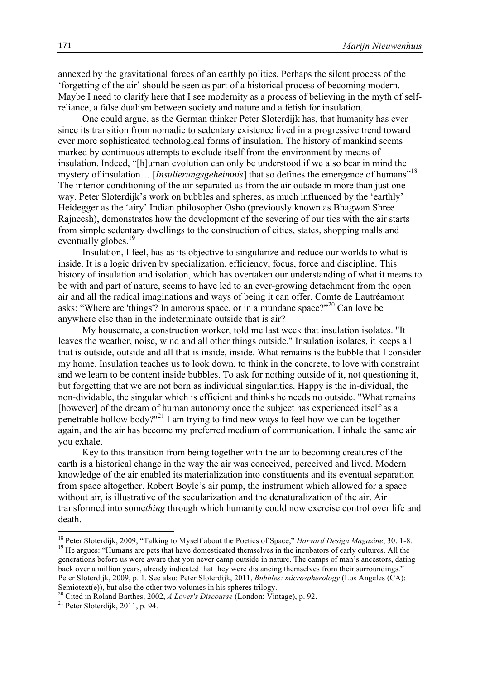annexed by the gravitational forces of an earthly politics. Perhaps the silent process of the 'forgetting of the air' should be seen as part of a historical process of becoming modern. Maybe I need to clarify here that I see modernity as a process of believing in the myth of selfreliance, a false dualism between society and nature and a fetish for insulation.

 One could argue, as the German thinker Peter Sloterdijk has, that humanity has ever since its transition from nomadic to sedentary existence lived in a progressive trend toward ever more sophisticated technological forms of insulation. The history of mankind seems marked by continuous attempts to exclude itself from the environment by means of insulation. Indeed, "[h]uman evolution can only be understood if we also bear in mind the mystery of insulation... [*Insulierungsgeheimnis*] that so defines the emergence of humans"<sup>18</sup> The interior conditioning of the air separated us from the air outside in more than just one way. Peter Sloterdijk's work on bubbles and spheres, as much influenced by the 'earthly' Heidegger as the 'airy' Indian philosopher Osho (previously known as Bhagwan Shree Rajneesh), demonstrates how the development of the severing of our ties with the air starts from simple sedentary dwellings to the construction of cities, states, shopping malls and eventually globes.<sup>19</sup>

 Insulation, I feel, has as its objective to singularize and reduce our worlds to what is inside. It is a logic driven by specialization, efficiency, focus, force and discipline. This history of insulation and isolation, which has overtaken our understanding of what it means to be with and part of nature, seems to have led to an ever-growing detachment from the open air and all the radical imaginations and ways of being it can offer. Comte de Lautréamont asks: "Where are 'things'? In amorous space, or in a mundane space?"20 Can love be anywhere else than in the indeterminate outside that is air?

 My housemate, a construction worker, told me last week that insulation isolates. "It leaves the weather, noise, wind and all other things outside." Insulation isolates, it keeps all that is outside, outside and all that is inside, inside. What remains is the bubble that I consider my home. Insulation teaches us to look down, to think in the concrete, to love with constraint and we learn to be content inside bubbles. To ask for nothing outside of it, not questioning it, but forgetting that we are not born as individual singularities. Happy is the in-dividual, the non-dividable, the singular which is efficient and thinks he needs no outside. "What remains [however] of the dream of human autonomy once the subject has experienced itself as a penetrable hollow body?"<sup>21</sup> I am trying to find new ways to feel how we can be together again, and the air has become my preferred medium of communication. I inhale the same air you exhale.

 Key to this transition from being together with the air to becoming creatures of the earth is a historical change in the way the air was conceived, perceived and lived. Modern knowledge of the air enabled its materialization into constituents and its eventual separation from space altogether. Robert Boyle's air pump, the instrument which allowed for a space without air, is illustrative of the secularization and the denaturalization of the air. Air transformed into some*thing* through which humanity could now exercise control over life and death.

generations before us were aware that you never camp outside in nature. The camps of man's ancestors, dating back over a million years, already indicated that they were distancing themselves from their surroundings." Peter Sloterdijk, 2009, p. 1. See also: Peter Sloterdijk, 2011, *Bubbles: microspherology* (Los Angeles (CA): Semiotext(e)), but also the other two volumes in his spheres trilogy.

<u> 1989 - Jan Samuel Barbara, margaret e</u>

<sup>&</sup>lt;sup>18</sup> Peter Sloterdijk, 2009, "Talking to Myself about the Poetics of Space," *Harvard Design Magazine*, 30: 1-8.<br><sup>19</sup> He argues: "Humans are pets that have domesticated themselves in the incubators of early cultures. All

<sup>&</sup>lt;sup>20</sup> Cited in Roland Barthes, 2002, *A Lover's Discourse* (London: Vintage), p. 92.<br><sup>21</sup> Peter Sloterdijk, 2011, p. 94.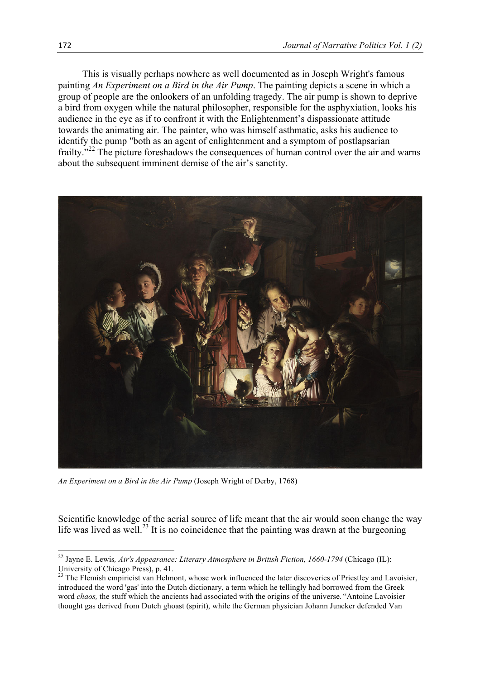This is visually perhaps nowhere as well documented as in Joseph Wright's famous painting *An Experiment on a Bird in the Air Pump*. The painting depicts a scene in which a group of people are the onlookers of an unfolding tragedy. The air pump is shown to deprive a bird from oxygen while the natural philosopher, responsible for the asphyxiation, looks his audience in the eye as if to confront it with the Enlightenment's dispassionate attitude towards the animating air. The painter, who was himself asthmatic, asks his audience to identify the pump "both as an agent of enlightenment and a symptom of postlapsarian frailty.<sup>"22</sup> The picture foreshadows the consequences of human control over the air and warns about the subsequent imminent demise of the air's sanctity.



*An Experiment on a Bird in the Air Pump* (Joseph Wright of Derby, 1768)

<u> 1989 - Jan Samuel Barbara, margaret e</u>

Scientific knowledge of the aerial source of life meant that the air would soon change the way life was lived as well.<sup>23</sup> It is no coincidence that the painting was drawn at the burgeoning

<sup>22</sup> Jayne E. Lewis*, Air's Appearance: Literary Atmosphere in British Fiction, 1660-1794* (Chicago (IL): University of Chicago Press), p. 41.

<sup>&</sup>lt;sup>23</sup> The Flemish empiricist van Helmont, whose work influenced the later discoveries of Priestley and Lavoisier, introduced the word 'gas' into the Dutch dictionary, a term which he tellingly had borrowed from the Greek word *chaos,* the stuff which the ancients had associated with the origins of the universe. "Antoine Lavoisier thought gas derived from Dutch ghoast (spirit), while the German physician Johann Juncker defended Van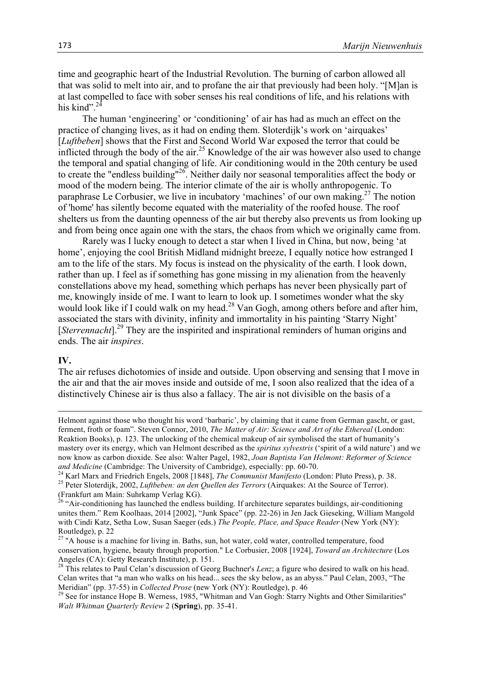time and geographic heart of the Industrial Revolution. The burning of carbon allowed all that was solid to melt into air, and to profane the air that previously had been holy. "[M]an is at last compelled to face with sober senses his real conditions of life, and his relations with his kind".<sup>24</sup>

 The human 'engineering' or 'conditioning' of air has had as much an effect on the practice of changing lives, as it had on ending them. Sloterdijk's work on 'airquakes' [*Luftbeben*] shows that the First and Second World War exposed the terror that could be inflicted through the body of the air.<sup>25</sup> Knowledge of the air was however also used to change the temporal and spatial changing of life. Air conditioning would in the 20th century be used to create the "endless building"<sup>26</sup>. Neither daily nor seasonal temporalities affect the body or mood of the modern being. The interior climate of the air is wholly anthropogenic. To paraphrase Le Corbusier, we live in incubatory 'machines' of our own making.<sup>27</sup> The notion of 'home' has silently become equated with the materiality of the roofed house. The roof shelters us from the daunting openness of the air but thereby also prevents us from looking up and from being once again one with the stars, the chaos from which we originally came from.

 Rarely was I lucky enough to detect a star when I lived in China, but now, being 'at home', enjoying the cool British Midland midnight breeze. I equally notice how estranged I am to the life of the stars. My focus is instead on the physicality of the earth. I look down, rather than up. I feel as if something has gone missing in my alienation from the heavenly constellations above my head, something which perhaps has never been physically part of me, knowingly inside of me. I want to learn to look up. I sometimes wonder what the sky would look like if I could walk on my head.<sup>28</sup> Van Gogh, among others before and after him, associated the stars with divinity, infinity and immortality in his painting 'Starry Night' [*Sterrennacht*].<sup>29</sup> They are the inspirited and inspirational reminders of human origins and ends. The air *inspires*.

### **IV.**

The air refuses dichotomies of inside and outside. Upon observing and sensing that I move in the air and that the air moves inside and outside of me, I soon also realized that the idea of a distinctively Chinese air is thus also a fallacy. The air is not divisible on the basis of a

<u> 1989 - Andrea Santa Andrea Andrea Andrea Andrea Andrea Andrea Andrea Andrea Andrea Andrea Andrea Andrea Andr</u>

Helmont against those who thought his word 'barbaric', by claiming that it came from German gascht, or gast, ferment, froth or foam". Steven Connor, 2010, *The Matter of Air: Science and Art of the Ethereal* (London: Reaktion Books), p. 123. The unlocking of the chemical makeup of air symbolised the start of humanity's mastery over its energy, which van Helmont described as the *spiritus sylvestris* ('spirit of a wild nature') and we now know as carbon dioxide. See also: Walter Pagel, 1982, *Joan Baptista Van Helmont: Reformer of Science* 

and Medicine (Cambridge: The University of Cambridge), especially: pp. 60-70.<br><sup>24</sup> Karl Marx and Friedrich Engels, 2008 [1848], *The Communist Manifesto* (London: Pluto Press), p. 38.<br><sup>25</sup> Peter Sloterdijk, 2002, *Luftbebe* (Frankfurt am Main: Suhrkamp Verlag KG). <sup>26</sup> "Air-conditioning has launched the endless building. If architecture separates buildings, air-conditioning

unites them." Rem Koolhaas, 2014 [2002], "Junk Space" (pp. 22-26) in Jen Jack Gieseking, William Mangold with Cindi Katz, Setha Low, Susan Saeger (eds.) *The People, Place, and Space Reader* (New York (NY): Routledge), p. 22

<sup>&</sup>lt;sup>27</sup> "A house is a machine for living in. Baths, sun, hot water, cold water, controlled temperature, food conservation, hygiene, beauty through proportion." Le Corbusier, 2008 [1924], *Toward an Architecture* (Los Angeles (CA): Getty Research Institute), p. 151.

<sup>&</sup>lt;sup>28</sup> This relates to Paul Celan's discussion of Georg Buchner's *Lenz*; a figure who desired to walk on his head. Celan writes that "a man who walks on his head... sees the sky below, as an abyss." Paul Celan, 2003, "The Meridian" (pp. 37-55) in *Collected Prose* (new York (NY): Routledge), p. 46<br><sup>29</sup> See for instance Hope B. Werness, 1985, "Whitman and Van Gogh: Starry Nights and Other Similarities"

*Walt Whitman Quarterly Review* 2 (**Spring**), pp. 35-41.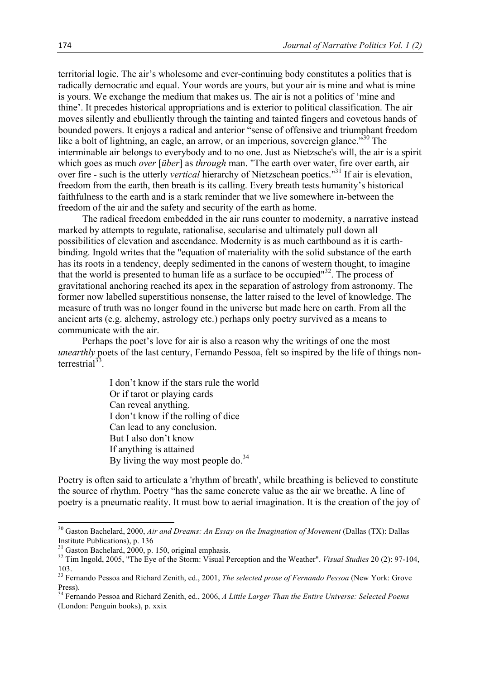territorial logic. The air's wholesome and ever-continuing body constitutes a politics that is radically democratic and equal. Your words are yours, but your air is mine and what is mine is yours. We exchange the medium that makes us. The air is not a politics of 'mine and thine'. It precedes historical appropriations and is exterior to political classification. The air moves silently and ebulliently through the tainting and tainted fingers and covetous hands of bounded powers. It enjoys a radical and anterior "sense of offensive and triumphant freedom like a bolt of lightning, an eagle, an arrow, or an imperious, sovereign glance.<sup>330</sup> The interminable air belongs to everybody and to no one. Just as Nietzsche's will, the air is a spirit which goes as much *over* [*über*] as *through* man. "The earth over water, fire over earth, air over fire - such is the utterly *vertical* hierarchy of Nietzschean poetics."<sup>31</sup> If air is elevation, freedom from the earth, then breath is its calling. Every breath tests humanity's historical faithfulness to the earth and is a stark reminder that we live somewhere in-between the freedom of the air and the safety and security of the earth as home.

 The radical freedom embedded in the air runs counter to modernity, a narrative instead marked by attempts to regulate, rationalise, secularise and ultimately pull down all possibilities of elevation and ascendance. Modernity is as much earthbound as it is earthbinding. Ingold writes that the "equation of materiality with the solid substance of the earth has its roots in a tendency, deeply sedimented in the canons of western thought, to imagine that the world is presented to human life as a surface to be occupied"<sup>32</sup>. The process of gravitational anchoring reached its apex in the separation of astrology from astronomy. The former now labelled superstitious nonsense, the latter raised to the level of knowledge. The measure of truth was no longer found in the universe but made here on earth. From all the ancient arts (e.g. alchemy, astrology etc.) perhaps only poetry survived as a means to communicate with the air.

 Perhaps the poet's love for air is also a reason why the writings of one the most *unearthly* poets of the last century. Fernando Pessoa, felt so inspired by the life of things nonterrestrial $^{33}$ .

> I don't know if the stars rule the world Or if tarot or playing cards Can reveal anything. I don't know if the rolling of dice Can lead to any conclusion. But I also don't know If anything is attained By living the way most people do.<sup>34</sup>

Poetry is often said to articulate a 'rhythm of breath', while breathing is believed to constitute the source of rhythm. Poetry "has the same concrete value as the air we breathe. A line of poetry is a pneumatic reality. It must bow to aerial imagination. It is the creation of the joy of

<u> 1989 - Jan Samuel Barbara, margaret e</u>

<sup>30</sup> Gaston Bachelard, 2000, *Air and Dreams: An Essay on the Imagination of Movement* (Dallas (TX): Dallas Institute Publications), p. 136<br><sup>31</sup> Gaston Bachelard, 2000, p. 150, original emphasis.

<sup>&</sup>lt;sup>32</sup> Tim Ingold, 2005, "The Eye of the Storm: Visual Perception and the Weather". *Visual Studies* 20 (2): 97-104, 103.

<sup>33</sup> Fernando Pessoa and Richard Zenith, ed., 2001, *The selected prose of Fernando Pessoa* (New York: Grove Press).

<sup>34</sup> Fernando Pessoa and Richard Zenith, ed., 2006, *A Little Larger Than the Entire Universe: Selected Poems* (London: Penguin books), p. xxix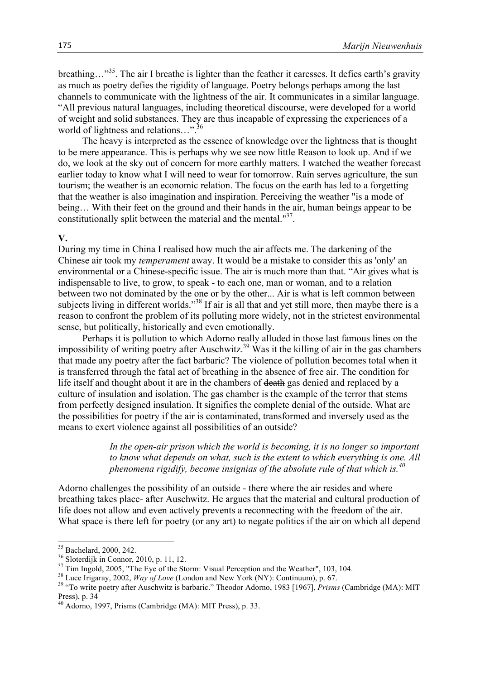breathing…"<sup>35</sup>. The air I breathe is lighter than the feather it caresses. It defies earth's gravity as much as poetry defies the rigidity of language. Poetry belongs perhaps among the last channels to communicate with the lightness of the air. It communicates in a similar language. "All previous natural languages, including theoretical discourse, were developed for a world of weight and solid substances. They are thus incapable of expressing the experiences of a world of lightness and relations...".<sup>36</sup>

 The heavy is interpreted as the essence of knowledge over the lightness that is thought to be mere appearance. This is perhaps why we see now little Reason to look up. And if we do, we look at the sky out of concern for more earthly matters. I watched the weather forecast earlier today to know what I will need to wear for tomorrow. Rain serves agriculture, the sun tourism; the weather is an economic relation. The focus on the earth has led to a forgetting that the weather is also imagination and inspiration. Perceiving the weather "is a mode of being… With their feet on the ground and their hands in the air, human beings appear to be constitutionally split between the material and the mental."<sup>37</sup>.

## **V.**

During my time in China I realised how much the air affects me. The darkening of the Chinese air took my *temperament* away. It would be a mistake to consider this as 'only' an environmental or a Chinese-specific issue. The air is much more than that. "Air gives what is indispensable to live, to grow, to speak - to each one, man or woman, and to a relation between two not dominated by the one or by the other... Air is what is left common between subjects living in different worlds."<sup>38</sup> If air is all that and yet still more, then maybe there is a reason to confront the problem of its polluting more widely, not in the strictest environmental sense, but politically, historically and even emotionally.

 Perhaps it is pollution to which Adorno really alluded in those last famous lines on the impossibility of writing poetry after Auschwitz.<sup>39</sup> Was it the killing of air in the gas chambers that made any poetry after the fact barbaric? The violence of pollution becomes total when it is transferred through the fatal act of breathing in the absence of free air. The condition for life itself and thought about it are in the chambers of death gas denied and replaced by a culture of insulation and isolation. The gas chamber is the example of the terror that stems from perfectly designed insulation. It signifies the complete denial of the outside. What are the possibilities for poetry if the air is contaminated, transformed and inversely used as the means to exert violence against all possibilities of an outside?

> *In the open-air prison which the world is becoming, it is no longer so important to know what depends on what, such is the extent to which everything is one. All phenomena rigidify, become insignias of the absolute rule of that which is.<sup>40</sup>*

Adorno challenges the possibility of an outside - there where the air resides and where breathing takes place- after Auschwitz. He argues that the material and cultural production of life does not allow and even actively prevents a reconnecting with the freedom of the air. What space is there left for poetry (or any art) to negate politics if the air on which all depend

<sup>&</sup>lt;sup>35</sup> Bachelard, 2000, 242.<br><sup>36</sup> Sloterdijk in Connor, 2010, p. 11, 12.<br><sup>37</sup> Tim Ingold, 2005, "The Eye of the Storm: Visual Perception and the Weather", 103, 104.<br><sup>37</sup> Luce Irigaray, 2002, *Way of Love* (London and New Yo Press), p. 34

 $^{40}$  Adorno, 1997, Prisms (Cambridge (MA): MIT Press), p. 33.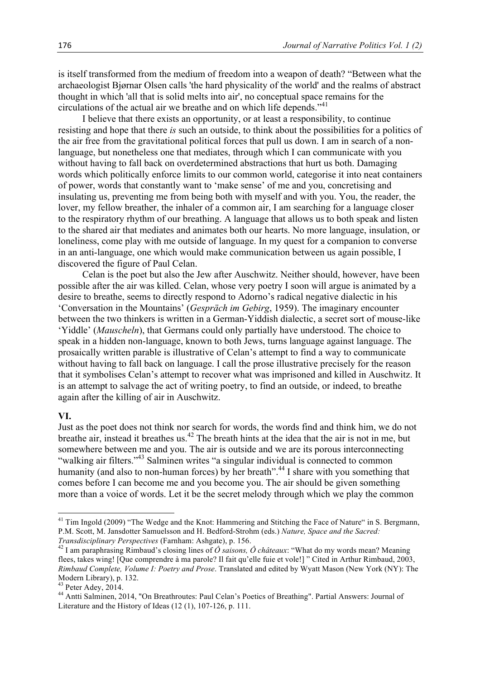is itself transformed from the medium of freedom into a weapon of death? "Between what the archaeologist Bjørnar Olsen calls 'the hard physicality of the world' and the realms of abstract thought in which 'all that is solid melts into air', no conceptual space remains for the circulations of the actual air we breathe and on which life depends."<sup>41</sup>

 I believe that there exists an opportunity, or at least a responsibility, to continue resisting and hope that there *is* such an outside, to think about the possibilities for a politics of the air free from the gravitational political forces that pull us down. I am in search of a nonlanguage, but nonetheless one that mediates, through which I can communicate with you without having to fall back on overdetermined abstractions that hurt us both. Damaging words which politically enforce limits to our common world, categorise it into neat containers of power, words that constantly want to 'make sense' of me and you, concretising and insulating us, preventing me from being both with myself and with you. You, the reader, the lover, my fellow breather, the inhaler of a common air, I am searching for a language closer to the respiratory rhythm of our breathing. A language that allows us to both speak and listen to the shared air that mediates and animates both our hearts. No more language, insulation, or loneliness, come play with me outside of language. In my quest for a companion to converse in an anti-language, one which would make communication between us again possible, I discovered the figure of Paul Celan.

 Celan is the poet but also the Jew after Auschwitz. Neither should, however, have been possible after the air was killed. Celan, whose very poetry I soon will argue is animated by a desire to breathe, seems to directly respond to Adorno's radical negative dialectic in his 'Conversation in the Mountains' (*Gespräch im Gebirg*, 1959). The imaginary encounter between the two thinkers is written in a German-Yiddish dialectic, a secret sort of mouse-like 'Yiddle' (*Mauscheln*), that Germans could only partially have understood. The choice to speak in a hidden non-language, known to both Jews, turns language against language. The prosaically written parable is illustrative of Celan's attempt to find a way to communicate without having to fall back on language. I call the prose illustrative precisely for the reason that it symbolises Celan's attempt to recover what was imprisoned and killed in Auschwitz. It is an attempt to salvage the act of writing poetry, to find an outside, or indeed, to breathe again after the killing of air in Auschwitz.

#### **VI.**

Just as the poet does not think nor search for words, the words find and think him, we do not breathe air, instead it breathes us.<sup>42</sup> The breath hints at the idea that the air is not in me, but somewhere between me and you. The air is outside and we are its porous interconnecting "walking air filters."<sup>43</sup> Salminen writes "a singular individual is connected to common humanity (and also to non-human forces) by her breath".<sup>44</sup> I share with you something that comes before I can become me and you become you. The air should be given something more than a voice of words. Let it be the secret melody through which we play the common

<u> 1989 - Jan Samuel Barbara, margaret e</u>

<sup>&</sup>lt;sup>41</sup> Tim Ingold (2009) "The Wedge and the Knot: Hammering and Stitching the Face of Nature" in S. Bergmann, P.M. Scott, M. Jansdotter Samuelsson and H. Bedford-Strohm (eds.) *Nature, Space and the Sacred:* 

*Transdisciplinary Perspectives* (Farnham: Ashgate), p. 156.<br><sup>42</sup> I am paraphrasing Rimbaud's closing lines of  $\hat{O}$  saisons,  $\hat{O}$  châteaux: "What do my words mean? Meaning flees, takes wing! [Que comprendre à ma parole? Il fait qu'elle fuie et vole!] " Cited in Arthur Rimbaud, 2003, *Rimbaud Complete, Volume I: Poetry and Prose*. Translated and edited by Wyatt Mason (New York (NY): The Modern Library), p. 132.<br><sup>43</sup> Peter Adey, 2014.

<sup>&</sup>lt;sup>44</sup> Antti Salminen, 2014, "On Breathroutes: Paul Celan's Poetics of Breathing". Partial Answers: Journal of Literature and the History of Ideas (12 (1), 107-126, p. 111.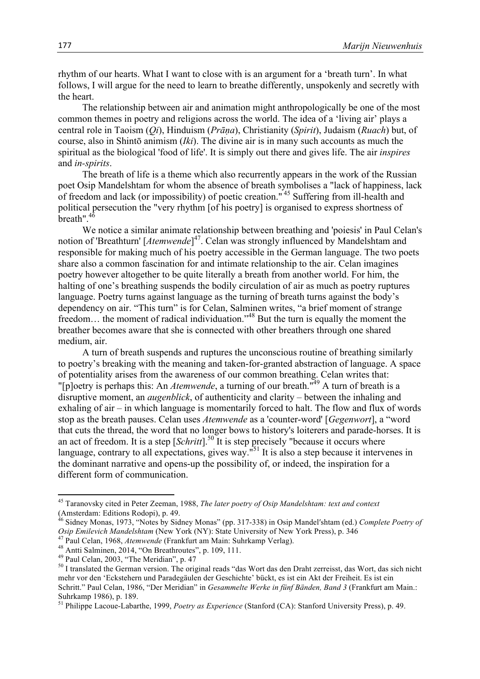rhythm of our hearts. What I want to close with is an argument for a 'breath turn'. In what follows, I will argue for the need to learn to breathe differently, unspokenly and secretly with the heart.

 The relationship between air and animation might anthropologically be one of the most common themes in poetry and religions across the world. The idea of a 'living air' plays a central role in Taoism (*Qi*), Hinduism (*Prāṇa*), Christianity (*Spirit*), Judaism (*Ruach*) but, of course, also in Shintō animism (*Iki*). The divine air is in many such accounts as much the spiritual as the biological 'food of life'. It is simply out there and gives life. The air *inspires* and *in-spirits*.

 The breath of life is a theme which also recurrently appears in the work of the Russian poet Osip Mandelshtam for whom the absence of breath symbolises a "lack of happiness, lack of freedom and lack (or impossibility) of poetic creation." <sup>45</sup> Suffering from ill-health and political persecution the "very rhythm [of his poetry] is organised to express shortness of  $b$ reath".  $46$ 

 We notice a similar animate relationship between breathing and 'poiesis' in Paul Celan's notion of 'Breathturn' [*Atemwende*] 47. Celan was strongly influenced by Mandelshtam and responsible for making much of his poetry accessible in the German language. The two poets share also a common fascination for and intimate relationship to the air. Celan imagines poetry however altogether to be quite literally a breath from another world. For him, the halting of one's breathing suspends the bodily circulation of air as much as poetry ruptures language. Poetry turns against language as the turning of breath turns against the body's dependency on air. "This turn" is for Celan, Salminen writes, "a brief moment of strange freedom... the moment of radical individuation."<sup>48</sup> But the turn is equally the moment the breather becomes aware that she is connected with other breathers through one shared medium, air.

 A turn of breath suspends and ruptures the unconscious routine of breathing similarly to poetry's breaking with the meaning and taken-for-granted abstraction of language. A space of potentiality arises from the awareness of our common breathing. Celan writes that: "[p]oetry is perhaps this: An *Atemwende*, a turning of our breath."49 A turn of breath is a disruptive moment, an *augenblick*, of authenticity and clarity – between the inhaling and exhaling of air – in which language is momentarily forced to halt. The flow and flux of words stop as the breath pauses. Celan uses *Atemwende* as a 'counter-word' [*Gegenwort*], a "word that cuts the thread, the word that no longer bows to history's loiterers and parade-horses. It is an act of freedom. It is a step [*Schritt*].<sup>50</sup> It is step precisely "because it occurs where language, contrary to all expectations, gives way."<sup>51</sup> It is also a step because it intervenes in the dominant narrative and opens-up the possibility of, or indeed, the inspiration for a different form of communication.

<sup>45</sup> Taranovsky cited in Peter Zeeman, 1988, *The later poetry of Osip Mandelshtam: text and context* (Amsterdam: Editions Rodopi), p. 49.

<sup>46</sup> Sidney Monas, 1973, "Notes by Sidney Monas" (pp. 317-338) in Osip Mandelʹshtam (ed.) *Complete Poetry of*  Osip Emilevich Mandelshtam (New York (NY): State University of New York Press), p. 346<br><sup>47</sup> Paul Celan, 1968, *Atemwende* (Frankfurt am Main: Suhrkamp Verlag).<br><sup>48</sup> Antti Salminen, 2014, "On Breathroutes", p. 109, 111.<br><sup>4</sup>

mehr vor den 'Eckstehern und Paradegäulen der Geschichte' bückt, es ist ein Akt der Freiheit. Es ist ein Schritt." Paul Celan, 1986, "Der Meridian" in *Gesammelte Werke in fünf Bänden, Band 3* (Frankfurt am Main.: Suhrkamp 1986), p. 189.

<sup>51</sup> Philippe Lacoue-Labarthe, 1999, *Poetry as Experience* (Stanford (CA): Stanford University Press), p. 49.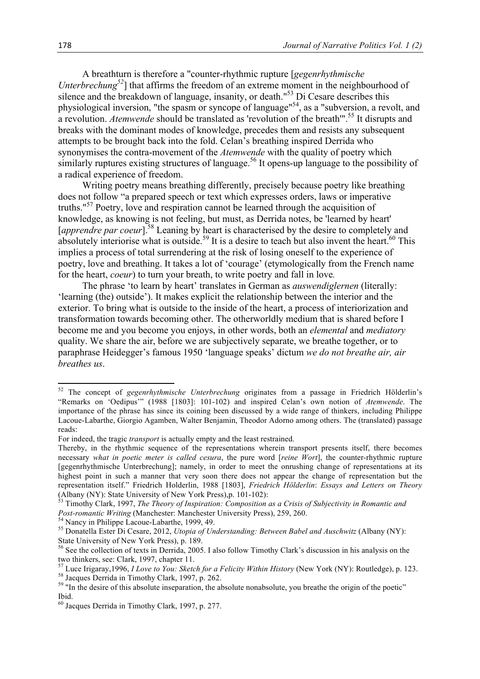A breathturn is therefore a "counter-rhythmic rupture [*gegenrhythmische Unterbrechung*<sup>52</sup>] that affirms the freedom of an extreme moment in the neighbourhood of silence and the breakdown of language, insanity, or death."<sup>53</sup> Di Cesare describes this physiological inversion, "the spasm or syncope of language"54, as a "subversion, a revolt, and a revolution. *Atemwende* should be translated as 'revolution of the breath'". <sup>55</sup> It disrupts and breaks with the dominant modes of knowledge, precedes them and resists any subsequent attempts to be brought back into the fold. Celan's breathing inspired Derrida who synonymises the contra-movement of the *Atemwende* with the quality of poetry which similarly ruptures existing structures of language.<sup>56</sup> It opens-up language to the possibility of a radical experience of freedom.

 Writing poetry means breathing differently, precisely because poetry like breathing does not follow "a prepared speech or text which expresses orders, laws or imperative truths."<sup>57</sup> Poetry, love and respiration cannot be learned through the acquisition of knowledge, as knowing is not feeling, but must, as Derrida notes, be 'learned by heart' [apprendre par coeur].<sup>58</sup> Leaning by heart is characterised by the desire to completely and absolutely interiorise what is outside.<sup>59</sup> It is a desire to teach but also invent the heart.<sup>60</sup> This implies a process of total surrendering at the risk of losing oneself to the experience of poetry, love and breathing. It takes a lot of 'courage' (etymologically from the French name for the heart, *coeur*) to turn your breath, to write poetry and fall in love*.*

 The phrase 'to learn by heart' translates in German as *auswendiglernen* (literally: 'learning (the) outside'). It makes explicit the relationship between the interior and the exterior. To bring what is outside to the inside of the heart, a process of interiorization and transformation towards becoming other. The otherworldly medium that is shared before I become me and you become you enjoys, in other words, both an *elemental* and *mediatory* quality. We share the air, before we are subjectively separate, we breathe together, or to paraphrase Heidegger's famous 1950 'language speaks' dictum *we do not breathe air, air breathes us*.

<sup>52</sup> The concept of *gegenrhythmische Unterbrechung* originates from a passage in Friedrich Hölderlin's "Remarks on 'Oedipus'" (1988 [1803]: 101-102) and inspired Celan's own notion of *Atemwende*. The importance of the phrase has since its coining been discussed by a wide range of thinkers, including Philippe Lacoue-Labarthe, Giorgio Agamben, Walter Benjamin, Theodor Adorno among others. The (translated) passage reads:

For indeed, the tragic *transport* is actually empty and the least restrained.

Thereby, in the rhythmic sequence of the representations wherein transport presents itself, there becomes necessary *what in poetic meter is called cesura*, the pure word [*reine Wort*], the counter-rhythmic rupture [gegenrhythmische Unterbrechung]; namely, in order to meet the onrushing change of representations at its highest point in such a manner that very soon there does not appear the change of representation but the representation itself." Friedrich Holderlin, 1988 [1803], *Friedrich Hölderlin*: *Essays and Letters on Theory*  (Albany (NY): State University of New York Press),p. 101-102): <sup>53</sup> Timothy Clark, 1997, *The Theory of Inspiration: Composition as a Crisis of Subjectivity in Romantic and* 

Post-romantic Writing (Manchester: Manchester University Press), 259, 260.<br>
<sup>54</sup> Nancy in Philippe Lacoue-Labarthe, 1999, 49.<br>
<sup>55</sup> Donatella Ester Di Cesare, 2012, *Utopia of Understanding: Between Babel and Auschwitz* (A

State University of New York Press), p. 189.

<sup>&</sup>lt;sup>56</sup> See the collection of texts in Derrida, 2005. I also follow Timothy Clark's discussion in his analysis on the

two thinkers, see: Clark, 1997, chapter 11.<br>
<sup>57</sup> Luce Irigaray, 1996, *I Love to You: Sketch for a Felicity Within History* (New York (NY): Routledge), p. 123.<br>
<sup>58</sup> Jacques Derrida in Timothy Clark, 1997, p. 262.<br>
<sup>59</sup>

Ibid.

 $60$  Jacques Derrida in Timothy Clark, 1997, p. 277.